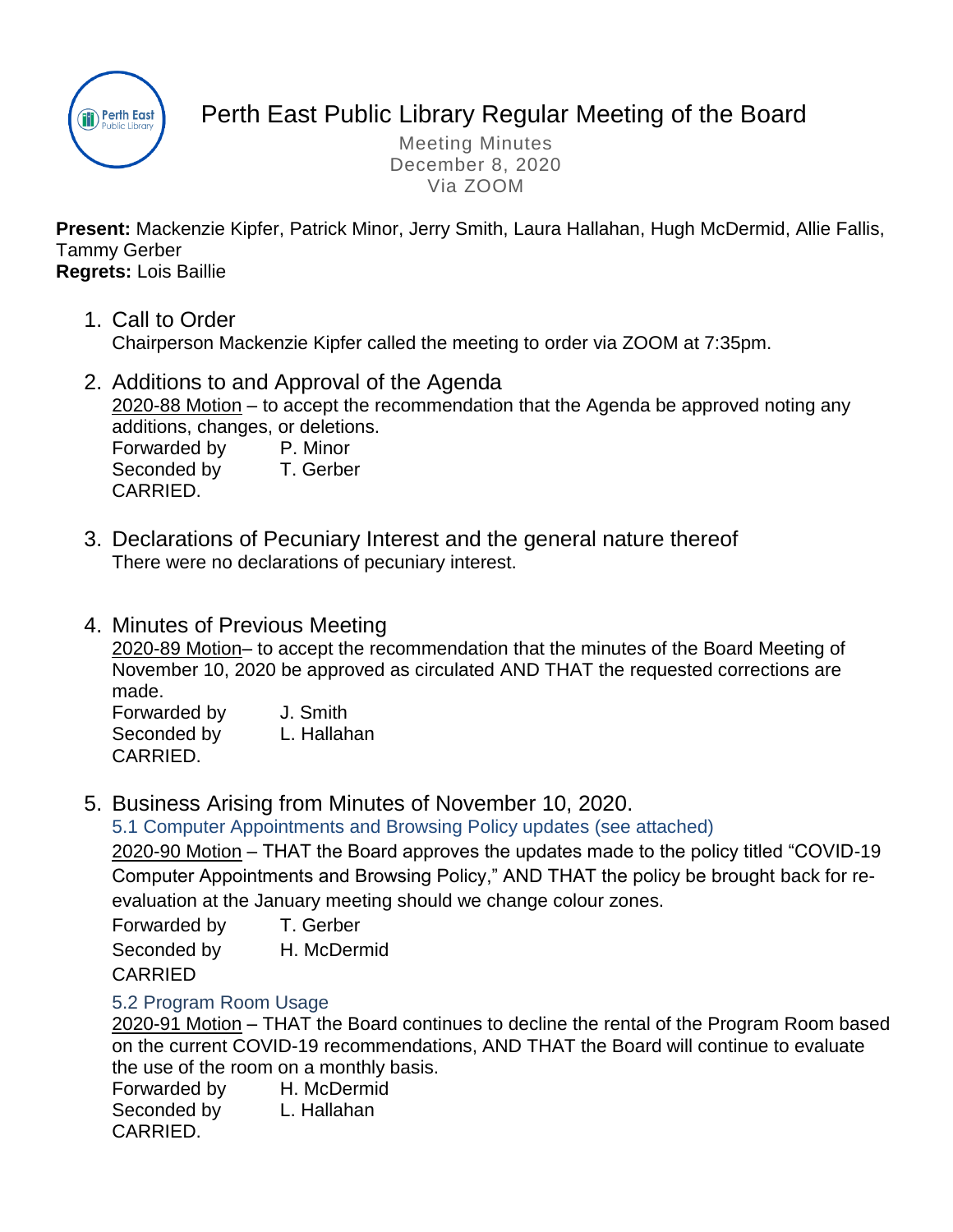

# Perth East Public Library Regular Meeting of the Board

Meeting Minutes December 8, 2020 Via ZOOM

**Present:** Mackenzie Kipfer, Patrick Minor, Jerry Smith, Laura Hallahan, Hugh McDermid, Allie Fallis, Tammy Gerber

## **Regrets:** Lois Baillie

- 1. Call to Order Chairperson Mackenzie Kipfer called the meeting to order via ZOOM at 7:35pm.
- 2. Additions to and Approval of the Agenda 2020-88 Motion – to accept the recommendation that the Agenda be approved noting any additions, changes, or deletions. Forwarded by P. Minor

Seconded by T. Gerber CARRIED.

- 3. Declarations of Pecuniary Interest and the general nature thereof There were no declarations of pecuniary interest.
- 4. Minutes of Previous Meeting

2020-89 Motion– to accept the recommendation that the minutes of the Board Meeting of November 10, 2020 be approved as circulated AND THAT the requested corrections are made.

Forwarded by J. Smith Seconded by L. Hallahan CARRIED.

5. Business Arising from Minutes of November 10, 2020.

5.1 Computer Appointments and Browsing Policy updates (see attached)

2020-90 Motion – THAT the Board approves the updates made to the policy titled "COVID-19 Computer Appointments and Browsing Policy," AND THAT the policy be brought back for reevaluation at the January meeting should we change colour zones.

Forwarded by T. Gerber Seconded by H. McDermid CARRIED

# 5.2 Program Room Usage

2020-91 Motion – THAT the Board continues to decline the rental of the Program Room based on the current COVID-19 recommendations, AND THAT the Board will continue to evaluate the use of the room on a monthly basis.

Forwarded by H. McDermid Seconded by L. Hallahan CARRIED.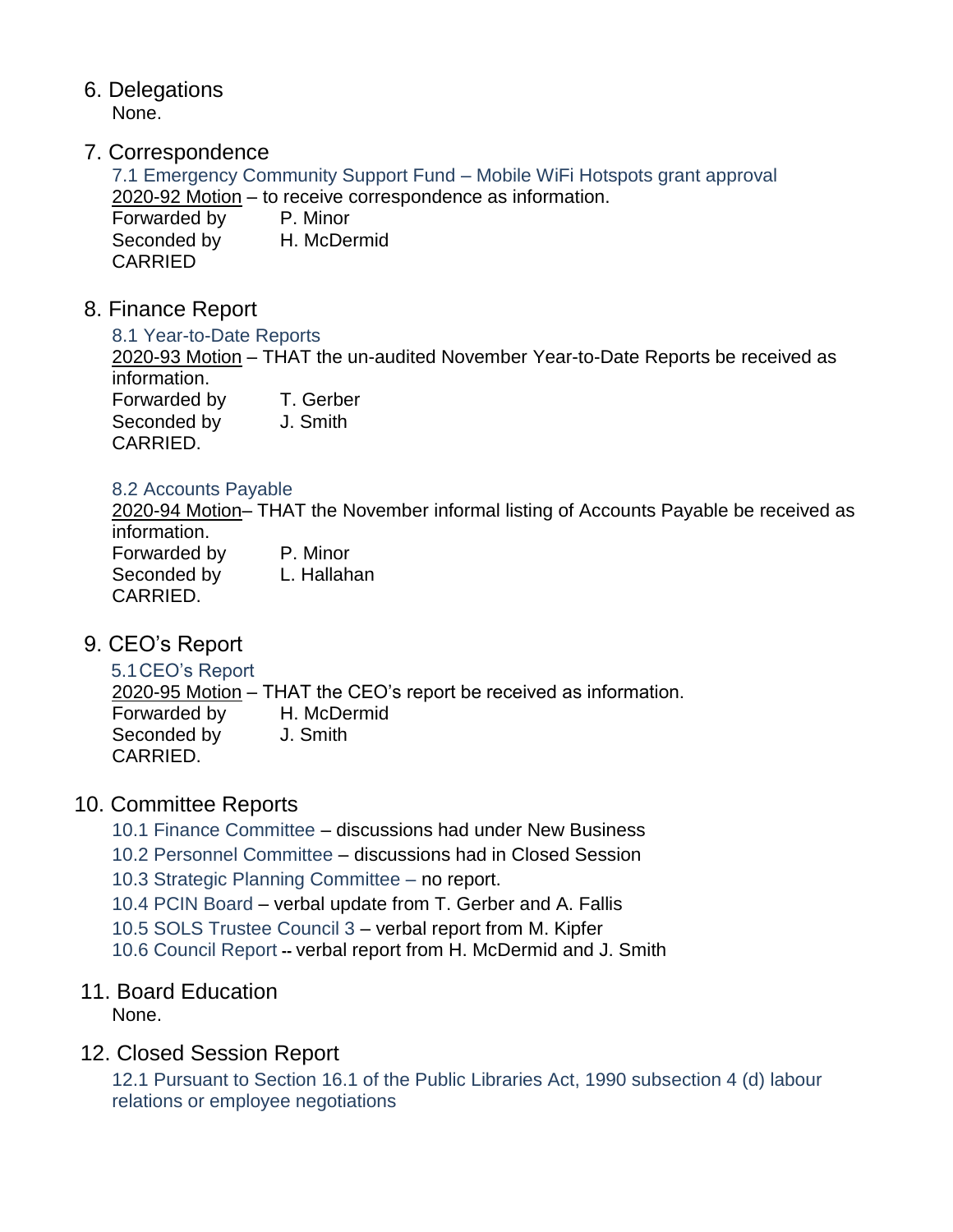- 6. Delegations None.
- 7. Correspondence

7.1 Emergency Community Support Fund – Mobile WiFi Hotspots grant approval 2020-92 Motion – to receive correspondence as information. Forwarded by P. Minor Seconded by H. McDermid CARRIED

8. Finance Report

CARRIED.

8.1 Year-to-Date Reports

2020-93 Motion – THAT the un-audited November Year-to-Date Reports be received as information. Forwarded by T. Gerber Seconded by J. Smith

## 8.2 Accounts Payable

2020-94 Motion– THAT the November informal listing of Accounts Payable be received as information.

Forwarded by P. Minor Seconded by L. Hallahan CARRIED.

- 9. CEO's Report
	- 5.1CEO's Report

2020-95 Motion – THAT the CEO's report be received as information. Forwarded by H. McDermid Seconded by J. Smith CARRIED.

# 10. Committee Reports

- 10.1 Finance Committee discussions had under New Business
- 10.2 Personnel Committee discussions had in Closed Session
- 10.3 Strategic Planning Committee no report.
- 10.4 PCIN Board verbal update from T. Gerber and A. Fallis
- 10.5 SOLS Trustee Council 3 verbal report from M. Kipfer
- 10.6 Council Report **--** verbal report from H. McDermid and J. Smith

# 11. Board Education

None.

# 12. Closed Session Report

12.1 Pursuant to Section 16.1 of the Public Libraries Act, 1990 subsection 4 (d) labour relations or employee negotiations